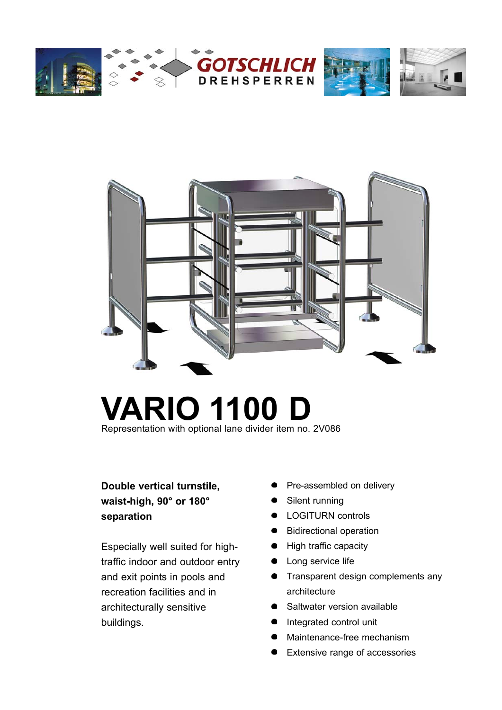



# **VARIO 1100 D**

Representation with optional lane divider item no. 2V086

## **Double vertical turnstile, waist-high, 90° or 180° separation**

Especially well suited for hightraffic indoor and outdoor entry and exit points in pools and recreation facilities and in architecturally sensitive buildings.

- Pre-assembled on delivery
- Silent running
- LOGITURN controls
- **Bidirectional operation**
- High traffic capacity
- Long service life
- **•** Transparent design complements any architecture
- Saltwater version available
- $\bullet$ Integrated control unit
- Maintenance-free mechanism
- Extensive range of accessories